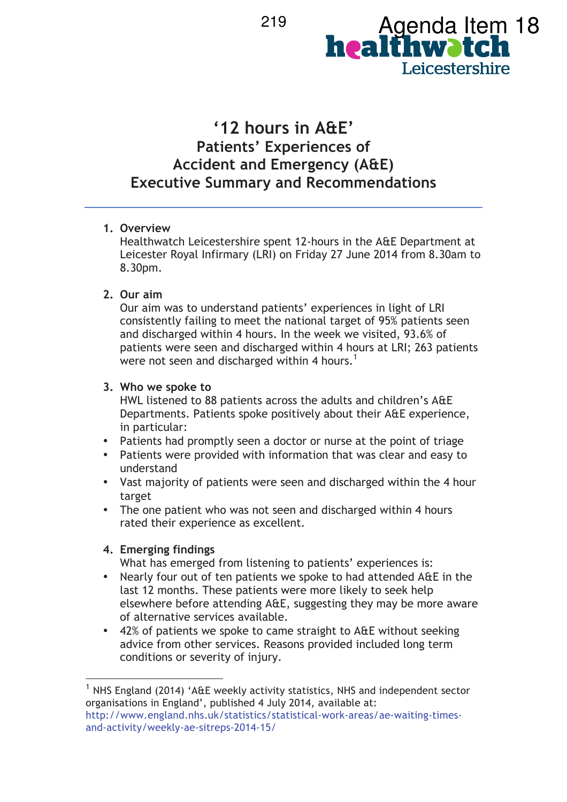

# **'12 hours in A&E' Patients' Experiences of Accident and Emergency (A&E) Executive Summary and Recommendations**

### **1. Overview**

Healthwatch Leicestershire spent 12-hours in the A&E Department at Leicester Royal Infirmary (LRI) on Friday 27 June 2014 from 8.30am to 8.30pm.

### **2. Our aim**

Our aim was to understand patients' experiences in light of LRI consistently failing to meet the national target of 95% patients seen and discharged within 4 hours. In the week we visited, 93.6% of patients were seen and discharged within 4 hours at LRI; 263 patients were not seen and discharged within 4 hours.<sup>1</sup>

### **3. Who we spoke to**

HWL listened to 88 patients across the adults and children's A&E Departments. Patients spoke positively about their A&E experience, in particular:

- Patients had promptly seen a doctor or nurse at the point of triage
- Patients were provided with information that was clear and easy to understand
- Vast majority of patients were seen and discharged within the 4 hour target
- The one patient who was not seen and discharged within 4 hours rated their experience as excellent.

## **4. Emerging findings**

 $\overline{a}$ 

What has emerged from listening to patients' experiences is:

- Nearly four out of ten patients we spoke to had attended A&E in the last 12 months. These patients were more likely to seek help elsewhere before attending A&E, suggesting they may be more aware of alternative services available.
- 42% of patients we spoke to came straight to A&E without seeking advice from other services. Reasons provided included long term conditions or severity of injury.

 $^1$  NHS England (2014) 'A&E weekly activity statistics, NHS and independent sector organisations in England', published 4 July 2014, available at: http://www.england.nhs.uk/statistics/statistical-work-areas/ae-waiting-timesand-activity/weekly-ae-sitreps-2014-15/